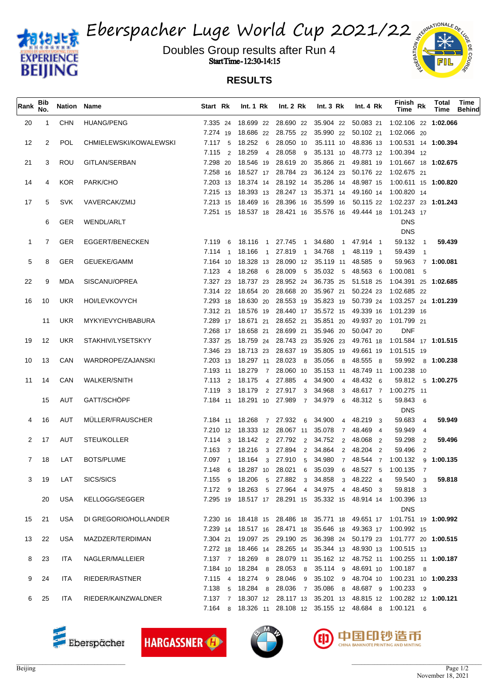

Eberspacher Luge World Cup 2021/22

Doubles Group results after Run 4  $\frac{2}{3}$ Start Time - 12:30-14:15



| Rank         | Bib<br>No.           | <b>Nation Name</b> |                        | Start Rk | Int. $1 \,$ Rk     | Int. $2 \, Rk$ | Int. $3 \, Rk$                                                                                               | Int. 4 Rk | Finish <sub>Rk</sub><br>Time | Total<br>Time     | Time<br><b>Behind</b> |
|--------------|----------------------|--------------------|------------------------|----------|--------------------|----------------|--------------------------------------------------------------------------------------------------------------|-----------|------------------------------|-------------------|-----------------------|
| 20           | -1                   | <b>CHN</b>         | <b>HUANG/PENG</b>      |          |                    |                | 7.335 24 18.699 22 28.690 22 35.904 22 50.083 21                                                             |           | 1:02.106 22 1:02.066         |                   |                       |
|              |                      |                    |                        |          |                    |                | 7.274 19 18.686 22 28.755 22 35.990 22 50.102 21                                                             |           | 1:02.066 20                  |                   |                       |
| 12           | $\mathbf{2}^{\circ}$ | <b>POL</b>         | CHMIELEWSKI/KOWALEWSKI |          | 7.117 5 18.252 6   |                | 28.050 10 35.111 10 48.836 13 1:00.531 14 1:00.394                                                           |           |                              |                   |                       |
|              |                      |                    |                        |          | 7.115 2 18.259 4   |                | 28.058 9 35.131 10 48.773 12 1:00.394 12                                                                     |           |                              |                   |                       |
| 21           | 3                    | ROU                | GITLAN/SERBAN          |          | 7.298 20 18.546 19 |                | 28.619 20 35.866 21 49.881 19 1:01.667 18 1:02.675                                                           |           |                              |                   |                       |
|              |                      |                    |                        |          |                    |                | 7.258 16 18.527 17 28.784 23 36.124 23 50.176 22 1:02.675 21                                                 |           |                              |                   |                       |
| 14           | 4                    | <b>KOR</b>         | PARK/CHO               |          |                    |                | 7.203 13 18.374 14 28.192 14 35.286 14 48.987 15 1:00.611 15 1:00.820                                        |           |                              |                   |                       |
|              |                      |                    |                        |          |                    |                | 7.215 13 18.393 13 28.247 13 35.371 14 49.160 14 1:00.820 14                                                 |           |                              |                   |                       |
| 17           | 5                    | <b>SVK</b>         | VAVERCAK/ZMIJ          |          |                    |                | 7.213 15 18.469 16 28.396 16 35.599 16 50.115 22 1:02.237 23 1:01.243                                        |           |                              |                   |                       |
|              |                      |                    |                        |          |                    |                | 7.251 15 18.537 18 28.421 16 35.576 16 49.444 18 1:01.243 17                                                 |           |                              |                   |                       |
|              | 6                    | <b>GER</b>         | <b>WENDL/ARLT</b>      |          |                    |                |                                                                                                              |           | <b>DNS</b>                   |                   |                       |
|              |                      |                    |                        |          |                    |                |                                                                                                              |           | <b>DNS</b>                   |                   |                       |
| $\mathbf{1}$ | 7                    | <b>GER</b>         | EGGERT/BENECKEN        |          | 7.119 6 18.116 1   |                | 27.745 1 34.680 1 47.914 1                                                                                   |           | 59.132 1                     | 59.439            |                       |
|              |                      |                    |                        |          | 7.114 1 18.166 1   | 27.819 1       |                                                                                                              |           | 59.439 1                     |                   |                       |
| 5            | 8                    | <b>GER</b>         | GEUEKE/GAMM            |          |                    |                | 7.164 10 18.328 13 28.090 12 35.119 11 48.585 9                                                              |           |                              | 59.963 7 1:00.081 |                       |
|              |                      |                    |                        |          | 7.123 4 18.268 6   |                | 28.009 5 35.032 5 48.563 6 1:00.081 5                                                                        |           |                              |                   |                       |
| 22           | 9                    | MDA                | SISCANU/OPREA          |          |                    |                | 7.327 23 18.737 23 28.952 24 36.735 25 51.518 25 1:04.391 25 1:02.685                                        |           |                              |                   |                       |
|              |                      |                    |                        |          |                    |                | 7.314 22 18.654 20 28.668 20 35.967 21 50.224 23                                                             |           | 1:02.685 22                  |                   |                       |
| 16           | 10                   | UKR                | <b>HOI/LEVKOVYCH</b>   |          |                    |                | 7.293 18 18.630 20 28.553 19 35.823 19 50.739 24 1:03.257 24 1:01.239                                        |           |                              |                   |                       |
|              |                      |                    |                        |          |                    |                | 7.312 21 18.576 19 28.440 17 35.572 15 49.339 16 1.01.239 16                                                 |           |                              |                   |                       |
|              | 11                   | UKR                | MYKYIEVYCH/BABURA      |          |                    |                | 7.289 17 18.671 21 28.652 21 35.851 20 49.937 20 1:01.799 21                                                 |           |                              |                   |                       |
|              |                      |                    |                        |          | 7.268 17 18.658 21 |                | 28.699 21 35.946 20 50.047 20                                                                                |           | <b>DNF</b>                   |                   |                       |
| 19           | 12                   | UKR                | STAKHIV/LYSETSKYY      |          |                    |                | 7.337 25 18.759 24 28.743 23 35.926 23 49.761 18 1:01.584 17 1:01.515                                        |           |                              |                   |                       |
|              | 13                   | CAN                | WARDROPE/ZAJANSKI      |          |                    |                | 7.346 23 18.713 23 28.637 19 35.805 19 49.661 19 1.01.515 19                                                 |           |                              |                   |                       |
| 10           |                      |                    |                        |          |                    |                | 7.203 13 18.297 11 28.023 8 35.056 8 48.555 8<br>7.193 11 18.279 7 28.060 10 35.153 11 48.749 11 1:00.238 10 |           |                              | 59.992 8 1:00.238 |                       |
| 11           | 14                   | CAN                | <b>WALKER/SNITH</b>    |          |                    |                | 7.113 2 18.175 4 27.885 4 34.900 4 48.432 6                                                                  |           |                              | 59.812 5 1:00.275 |                       |
|              |                      |                    |                        |          |                    |                | 7.119 3 18.179 2 27.917 3 34.968 3 48.617 7 1.00.275 11                                                      |           |                              |                   |                       |
|              | 15                   | AUT                | GATT/SCHÖPF            |          |                    |                | 7.184 11 18.291 10 27.989 7 34.979 6 48.312 5                                                                |           | 59.843 6                     |                   |                       |
|              |                      |                    |                        |          |                    |                |                                                                                                              |           | <b>DNS</b>                   |                   |                       |
| 4            | 16                   | AUT                | MULLER/FRAUSCHER       |          |                    |                | 7.184 11 18.268 7 27.932 6 34.900 4 48.219 3                                                                 |           | 59.683 4                     | 59.949            |                       |
|              |                      |                    |                        |          |                    |                | 7.210 12 18.333 12 28.067 11 35.078 7 48.469 4                                                               |           | 59.949 4                     |                   |                       |
| 2            | 17                   | AUT                | STEU/KOLLER            |          |                    |                | 7.114 3 18.142 2 27.792 2 34.752 2 48.068 2                                                                  |           | 59.298 2                     | 59.496            |                       |
|              |                      |                    |                        |          |                    |                | 7.163 7 18.216 3 27.894 2 34.864 2 48.204 2                                                                  |           | 59.496 2                     |                   |                       |
| $7^{\circ}$  | -18                  | LAT                | <b>BOTS/PLUME</b>      |          |                    |                | 7.097 1 18.164 3 27.910 5 34.980 7 48.544 7 1:00.132 9 1:00.135                                              |           |                              |                   |                       |
|              |                      |                    |                        | 7.148    |                    |                | 6 18.287 10 28.021 6 35.039 6 48.527 5 1:00.135 7                                                            |           |                              |                   |                       |
| 3            | 19                   | LAT                | SICS/SICS              |          |                    |                | 7.155 9 18.206 5 27.882 3 34.858 3 48.222 4                                                                  |           | 59.540 3                     | 59.818            |                       |
|              |                      |                    |                        |          |                    |                | 7.172 9 18.263 5 27.964 4 34.975 4 48.450 3                                                                  |           | 59.818 3                     |                   |                       |
|              | 20                   | USA                | KELLOGG/SEGGER         |          |                    |                | 7.295 19 18.517 17 28.291 15 35.332 15 48.914 14 1:00.396 13                                                 |           |                              |                   |                       |
|              |                      |                    |                        |          |                    |                |                                                                                                              |           | <b>DNS</b>                   |                   |                       |
| 15           | 21                   | USA                | DI GREGORIO/HOLLANDER  |          |                    |                | 7.230 16 18.418 15 28.486 18 35.771 18 49.651 17 1:01.751 19 1:00.992                                        |           |                              |                   |                       |
|              |                      |                    |                        |          |                    |                | 7.239 14 18.517 16 28.471 18 35.646 18 49.363 17 1.00.992 15                                                 |           |                              |                   |                       |
| 13           | 22                   | <b>USA</b>         | MAZDZER/TERDIMAN       |          |                    |                | 7.304 21 19.097 25 29.190 25 36.398 24 50.179 23 1:01.777 20 1:00.515                                        |           |                              |                   |                       |
|              |                      |                    |                        |          |                    |                | 7.272 18 18.466 14 28.265 14 35.344 13 48.930 13 1.00.515 13                                                 |           |                              |                   |                       |
| 8            | 23                   | ITA                | NAGLER/MALLEIER        |          |                    |                | 7.137 7 18.269 8 28.079 11 35.162 12 48.752 11 1:00.255 11 1:00.187                                          |           |                              |                   |                       |
|              |                      |                    |                        |          |                    |                | 7.184 10 18.284 8 28.053 8 35.114 9 48.691 10 1.00.187 8                                                     |           |                              |                   |                       |
| 9            | 24                   | ITA                | RIEDER/RASTNER         |          |                    |                | 7.115 4 18.274 9 28.046 9 35.102 9 48.704 10 1:00.231 10 1:00.233                                            |           |                              |                   |                       |
|              |                      |                    |                        |          |                    |                | 7.138 5 18.284 8 28.036 7 35.086 8 48.687 9 1.00.233 9                                                       |           |                              |                   |                       |
| 6            | 25                   | ITA                | RIEDER/KAINZWALDNER    |          |                    |                | 7.137 7 18.307 12 28.117 13 35.201 13 48.815 12 1:00.282 12 1:00.121                                         |           |                              |                   |                       |
|              |                      |                    |                        | 7.164    |                    |                | 8 18.326 11 28.108 12 35.155 12 48.684 8 1:00.121 6                                                          |           |                              |                   |                       |